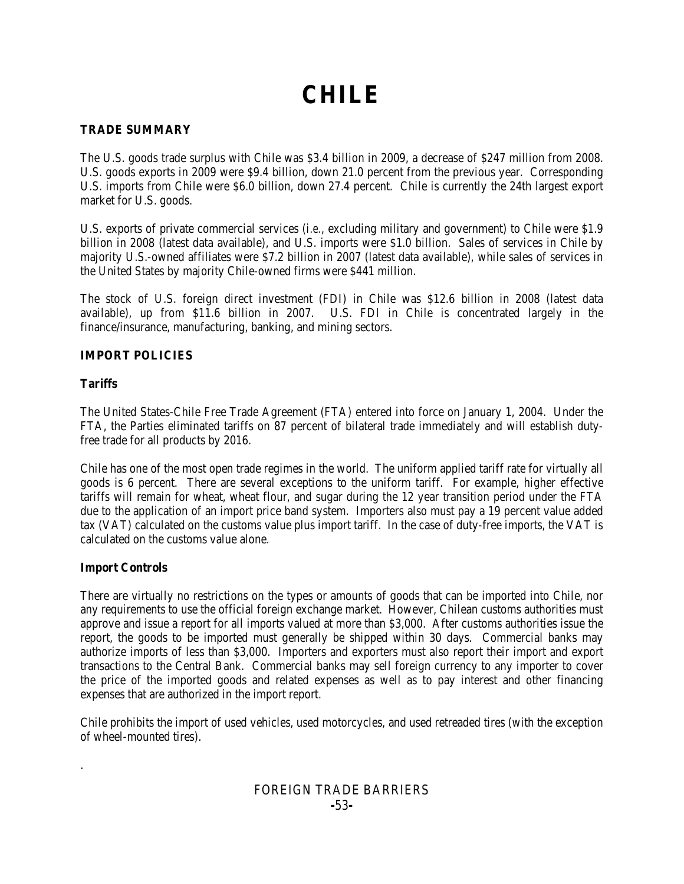# **CHILE**

#### **TRADE SUMMARY**

The U.S. goods trade surplus with Chile was \$3.4 billion in 2009, a decrease of \$247 million from 2008. U.S. goods exports in 2009 were \$9.4 billion, down 21.0 percent from the previous year. Corresponding U.S. imports from Chile were \$6.0 billion, down 27.4 percent. Chile is currently the 24th largest export market for U.S. goods.

U.S. exports of private commercial services (*i.e.*, excluding military and government) to Chile were \$1.9 billion in 2008 (latest data available), and U.S. imports were \$1.0 billion. Sales of services in Chile by majority U.S.-owned affiliates were \$7.2 billion in 2007 (latest data available), while sales of services in the United States by majority Chile-owned firms were \$441 million.

The stock of U.S. foreign direct investment (FDI) in Chile was \$12.6 billion in 2008 (latest data available), up from \$11.6 billion in 2007. U.S. FDI in Chile is concentrated largely in the finance/insurance, manufacturing, banking, and mining sectors.

#### **IMPORT POLICIES**

#### **Tariffs**

The United States-Chile Free Trade Agreement (FTA) entered into force on January 1, 2004. Under the FTA, the Parties eliminated tariffs on 87 percent of bilateral trade immediately and will establish dutyfree trade for all products by 2016.

Chile has one of the most open trade regimes in the world. The uniform applied tariff rate for virtually all goods is 6 percent. There are several exceptions to the uniform tariff. For example, higher effective tariffs will remain for wheat, wheat flour, and sugar during the 12 year transition period under the FTA due to the application of an import price band system. Importers also must pay a 19 percent value added tax (VAT) calculated on the customs value plus import tariff. In the case of duty-free imports, the VAT is calculated on the customs value alone.

#### **Import Controls**

.

There are virtually no restrictions on the types or amounts of goods that can be imported into Chile, nor any requirements to use the official foreign exchange market. However, Chilean customs authorities must approve and issue a report for all imports valued at more than \$3,000. After customs authorities issue the report, the goods to be imported must generally be shipped within 30 days. Commercial banks may authorize imports of less than \$3,000. Importers and exporters must also report their import and export transactions to the Central Bank. Commercial banks may sell foreign currency to any importer to cover the price of the imported goods and related expenses as well as to pay interest and other financing expenses that are authorized in the import report.

Chile prohibits the import of used vehicles, used motorcycles, and used retreaded tires (with the exception of wheel-mounted tires).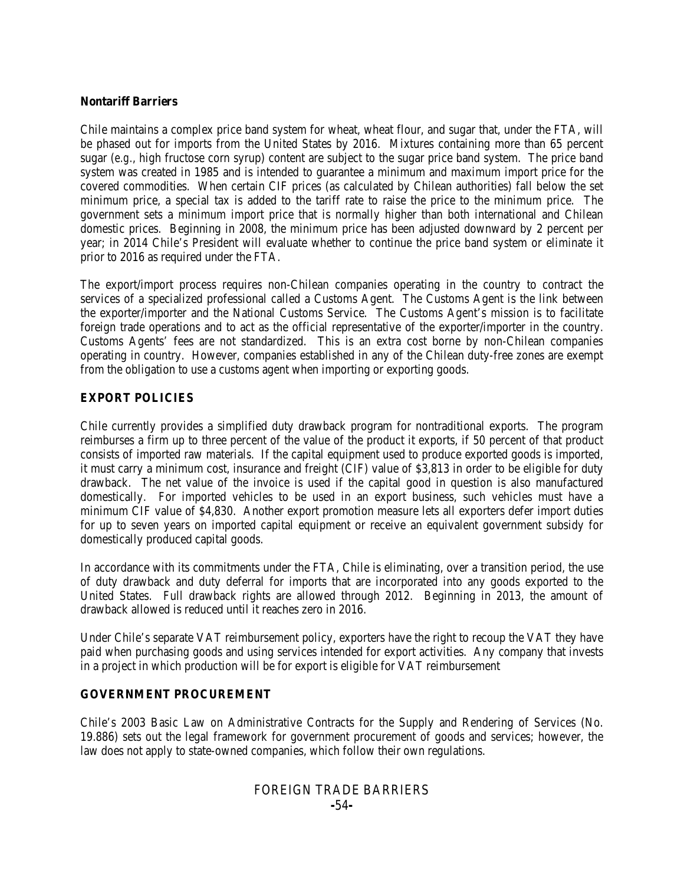#### **Nontariff Barriers**

Chile maintains a complex price band system for wheat, wheat flour, and sugar that, under the FTA, will be phased out for imports from the United States by 2016. Mixtures containing more than 65 percent sugar (*e.g.*, high fructose corn syrup) content are subject to the sugar price band system. The price band system was created in 1985 and is intended to guarantee a minimum and maximum import price for the covered commodities. When certain CIF prices (as calculated by Chilean authorities) fall below the set minimum price, a special tax is added to the tariff rate to raise the price to the minimum price. The government sets a minimum import price that is normally higher than both international and Chilean domestic prices. Beginning in 2008, the minimum price has been adjusted downward by 2 percent per year; in 2014 Chile's President will evaluate whether to continue the price band system or eliminate it prior to 2016 as required under the FTA.

The export/import process requires non-Chilean companies operating in the country to contract the services of a specialized professional called a Customs Agent. The Customs Agent is the link between the exporter/importer and the National Customs Service. The Customs Agent's mission is to facilitate foreign trade operations and to act as the official representative of the exporter/importer in the country. Customs Agents' fees are not standardized. This is an extra cost borne by non-Chilean companies operating in country. However, companies established in any of the Chilean duty-free zones are exempt from the obligation to use a customs agent when importing or exporting goods.

#### **EXPORT POLICIES**

Chile currently provides a simplified duty drawback program for nontraditional exports. The program reimburses a firm up to three percent of the value of the product it exports, if 50 percent of that product consists of imported raw materials. If the capital equipment used to produce exported goods is imported, it must carry a minimum cost, insurance and freight (CIF) value of \$3,813 in order to be eligible for duty drawback. The net value of the invoice is used if the capital good in question is also manufactured domestically. For imported vehicles to be used in an export business, such vehicles must have a minimum CIF value of \$4,830. Another export promotion measure lets all exporters defer import duties for up to seven years on imported capital equipment or receive an equivalent government subsidy for domestically produced capital goods.

In accordance with its commitments under the FTA, Chile is eliminating, over a transition period, the use of duty drawback and duty deferral for imports that are incorporated into any goods exported to the United States. Full drawback rights are allowed through 2012. Beginning in 2013, the amount of drawback allowed is reduced until it reaches zero in 2016.

Under Chile's separate VAT reimbursement policy, exporters have the right to recoup the VAT they have paid when purchasing goods and using services intended for export activities. Any company that invests in a project in which production will be for export is eligible for VAT reimbursement

#### **GOVERNMENT PROCUREMENT**

Chile's 2003 Basic Law on Administrative Contracts for the Supply and Rendering of Services (No. 19.886) sets out the legal framework for government procurement of goods and services; however, the law does not apply to state-owned companies, which follow their own regulations.

## FOREIGN TRADE BARRIERS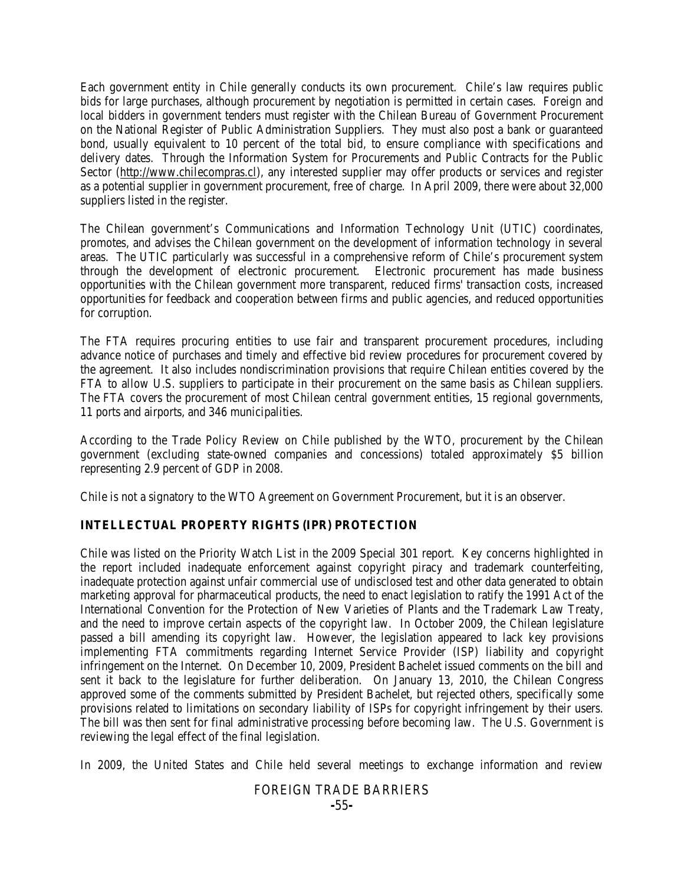Each government entity in Chile generally conducts its own procurement. Chile's law requires public bids for large purchases, although procurement by negotiation is permitted in certain cases. Foreign and local bidders in government tenders must register with the Chilean Bureau of Government Procurement on the National Register of Public Administration Suppliers. They must also post a bank or guaranteed bond, usually equivalent to 10 percent of the total bid, to ensure compliance with specifications and delivery dates. Through the Information System for Procurements and Public Contracts for the Public Sector (http://www.chilecompras.cl), any interested supplier may offer products or services and register as a potential supplier in government procurement, free of charge. In April 2009, there were about 32,000 suppliers listed in the register.

The Chilean government's Communications and Information Technology Unit (UTIC) coordinates, promotes, and advises the Chilean government on the development of information technology in several areas. The UTIC particularly was successful in a comprehensive reform of Chile's procurement system through the development of electronic procurement. Electronic procurement has made business opportunities with the Chilean government more transparent, reduced firms' transaction costs, increased opportunities for feedback and cooperation between firms and public agencies, and reduced opportunities for corruption.

The FTA requires procuring entities to use fair and transparent procurement procedures, including advance notice of purchases and timely and effective bid review procedures for procurement covered by the agreement. It also includes nondiscrimination provisions that require Chilean entities covered by the FTA to allow U.S. suppliers to participate in their procurement on the same basis as Chilean suppliers. The FTA covers the procurement of most Chilean central government entities, 15 regional governments, 11 ports and airports, and 346 municipalities.

According to the Trade Policy Review on Chile published by the WTO, procurement by the Chilean government (excluding state-owned companies and concessions) totaled approximately \$5 billion representing 2.9 percent of GDP in 2008.

Chile is not a signatory to the WTO Agreement on Government Procurement, but it is an observer.

#### **INTELLECTUAL PROPERTY RIGHTS (IPR) PROTECTION**

Chile was listed on the Priority Watch List in the 2009 Special 301 report. Key concerns highlighted in the report included inadequate enforcement against copyright piracy and trademark counterfeiting, inadequate protection against unfair commercial use of undisclosed test and other data generated to obtain marketing approval for pharmaceutical products, the need to enact legislation to ratify the 1991 Act of the International Convention for the Protection of New Varieties of Plants and the Trademark Law Treaty, and the need to improve certain aspects of the copyright law. In October 2009, the Chilean legislature passed a bill amending its copyright law. However, the legislation appeared to lack key provisions implementing FTA commitments regarding Internet Service Provider (ISP) liability and copyright infringement on the Internet. On December 10, 2009, President Bachelet issued comments on the bill and sent it back to the legislature for further deliberation. On January 13, 2010, the Chilean Congress approved some of the comments submitted by President Bachelet, but rejected others, specifically some provisions related to limitations on secondary liability of ISPs for copyright infringement by their users. The bill was then sent for final administrative processing before becoming law. The U.S. Government is reviewing the legal effect of the final legislation.

In 2009, the United States and Chile held several meetings to exchange information and review

### FOREIGN TRADE BARRIERS